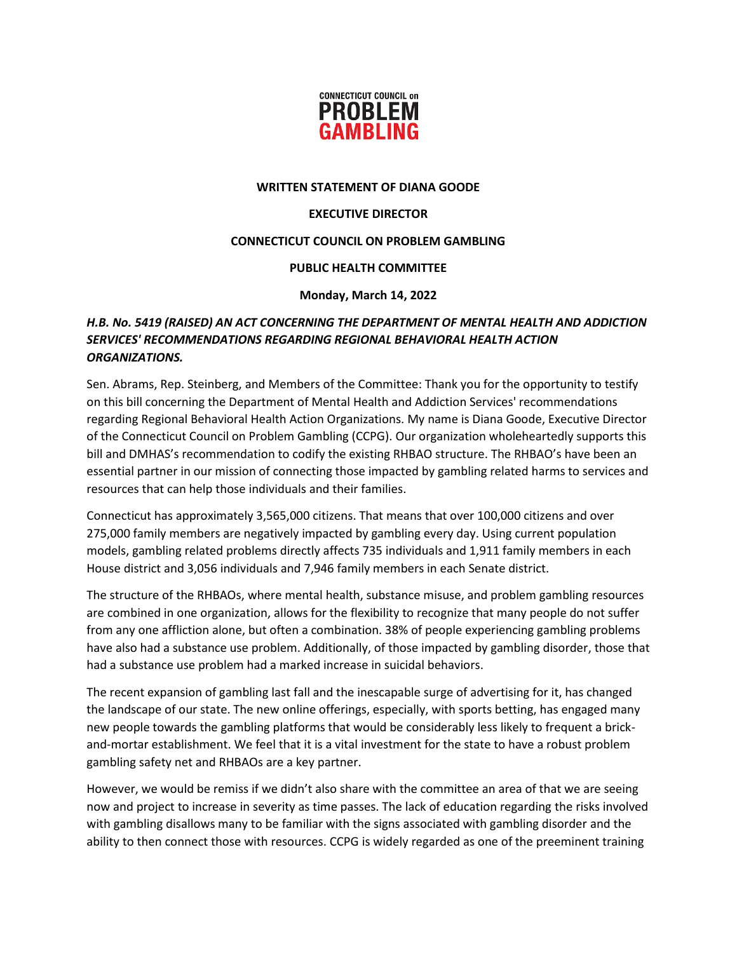

#### **WRITTEN STATEMENT OF DIANA GOODE**

## **EXECUTIVE DIRECTOR**

## **CONNECTICUT COUNCIL ON PROBLEM GAMBLING**

## **PUBLIC HEALTH COMMITTEE**

#### **Monday, March 14, 2022**

# *H.B. No. 5419 (RAISED) AN ACT CONCERNING THE DEPARTMENT OF MENTAL HEALTH AND ADDICTION SERVICES' RECOMMENDATIONS REGARDING REGIONAL BEHAVIORAL HEALTH ACTION ORGANIZATIONS.*

Sen. Abrams, Rep. Steinberg, and Members of the Committee: Thank you for the opportunity to testify on this bill concerning the Department of Mental Health and Addiction Services' recommendations regarding Regional Behavioral Health Action Organizations. My name is Diana Goode, Executive Director of the Connecticut Council on Problem Gambling (CCPG). Our organization wholeheartedly supports this bill and DMHAS's recommendation to codify the existing RHBAO structure. The RHBAO's have been an essential partner in our mission of connecting those impacted by gambling related harms to services and resources that can help those individuals and their families.

Connecticut has approximately 3,565,000 citizens. That means that over 100,000 citizens and over 275,000 family members are negatively impacted by gambling every day. Using current population models, gambling related problems directly affects 735 individuals and 1,911 family members in each House district and 3,056 individuals and 7,946 family members in each Senate district.

The structure of the RHBAOs, where mental health, substance misuse, and problem gambling resources are combined in one organization, allows for the flexibility to recognize that many people do not suffer from any one affliction alone, but often a combination. 38% of people experiencing gambling problems have also had a substance use problem. Additionally, of those impacted by gambling disorder, those that had a substance use problem had a marked increase in suicidal behaviors.

The recent expansion of gambling last fall and the inescapable surge of advertising for it, has changed the landscape of our state. The new online offerings, especially, with sports betting, has engaged many new people towards the gambling platforms that would be considerably less likely to frequent a brickand-mortar establishment. We feel that it is a vital investment for the state to have a robust problem gambling safety net and RHBAOs are a key partner.

However, we would be remiss if we didn't also share with the committee an area of that we are seeing now and project to increase in severity as time passes. The lack of education regarding the risks involved with gambling disallows many to be familiar with the signs associated with gambling disorder and the ability to then connect those with resources. CCPG is widely regarded as one of the preeminent training